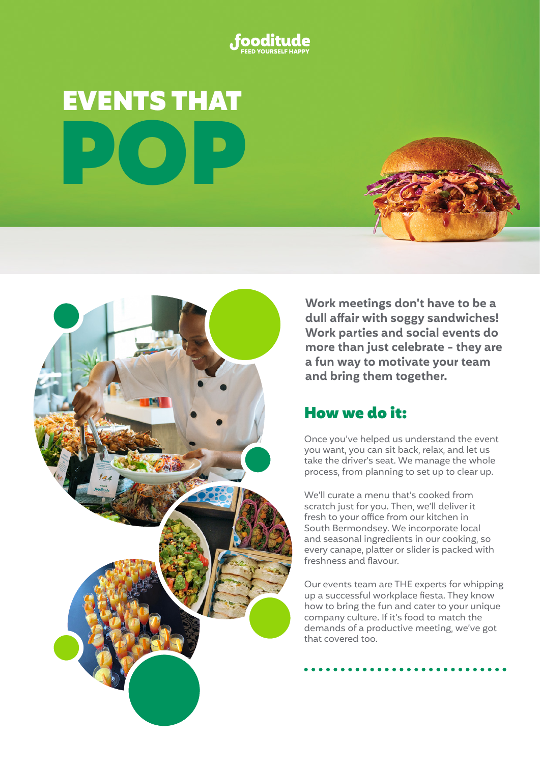

# EVENTS THAT POP





**Work meetings don't have to be a dull affair with soggy sandwiches! Work parties and social events do more than just celebrate - they are a fun way to motivate your team and bring them together.**

### How we do it:

Once you've helped us understand the event you want, you can sit back, relax, and let us take the driver's seat. We manage the whole process, from planning to set up to clear up.

We'll curate a menu that's cooked from scratch just for you. Then, we'll deliver it fresh to your office from our kitchen in South Bermondsey. We incorporate local and seasonal ingredients in our cooking, so every canape, platter or slider is packed with freshness and flavour.

Our events team are THE experts for whipping up a successful workplace fiesta. They know how to bring the fun and cater to your unique company culture. If it's food to match the demands of a productive meeting, we've got that covered too.